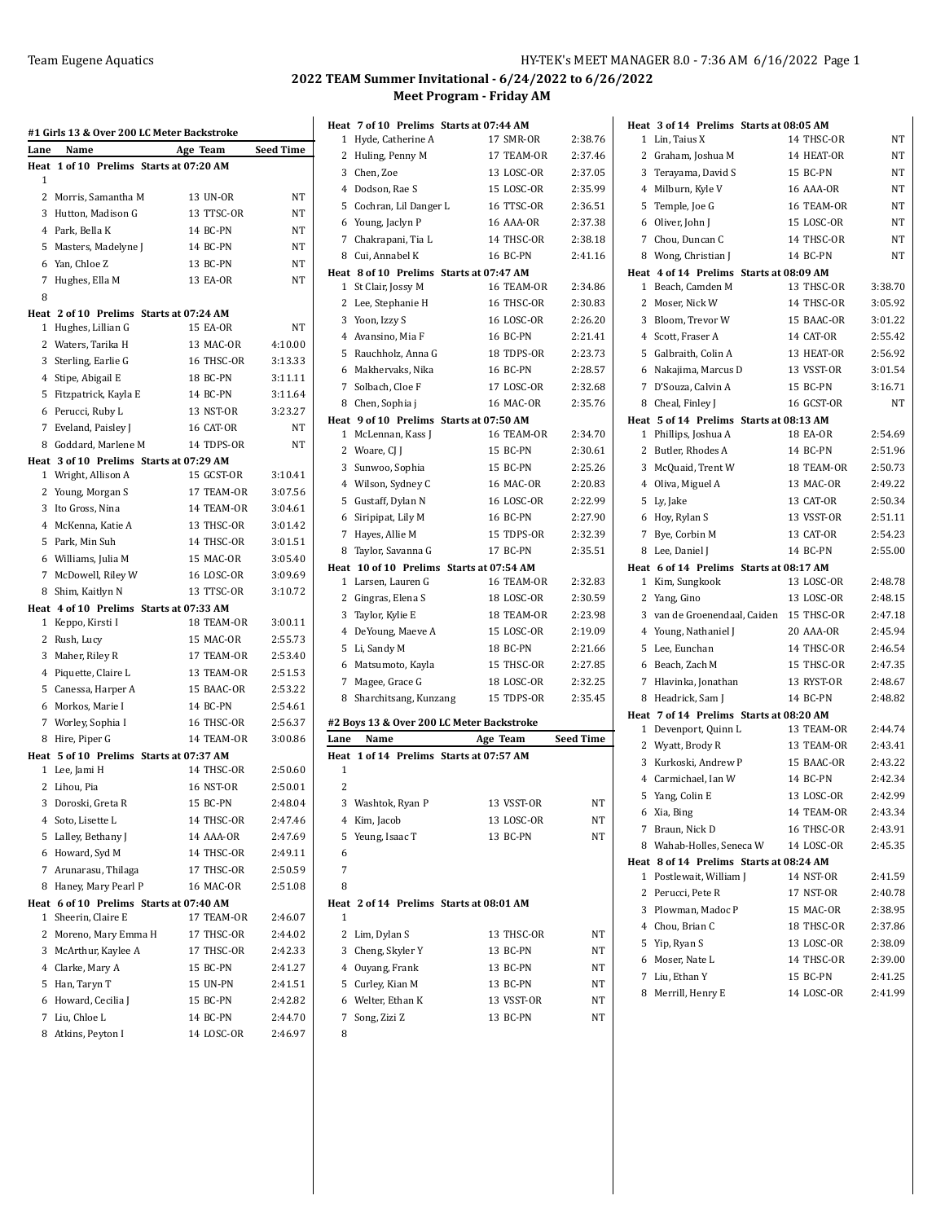|              | #1 Girls 13 & Over 200 LC Meter Backstroke                   |                        |           |
|--------------|--------------------------------------------------------------|------------------------|-----------|
| Lane         | Name                                                         | Age Team               | Seed Time |
| 1            | Heat 1 of 10 Prelims Starts at 07:20 AM                      |                        |           |
| 2            | Morris, Samantha M                                           | 13 UN-OR               | <b>NT</b> |
| 3            | Hutton, Madison G                                            | 13 TTSC-OR             | NT        |
| 4            | Park, Bella K                                                | 14 BC-PN               | ΝT        |
| 5            | Masters, Madelyne J                                          | 14 BC-PN               | NT        |
| 6            | Yan, Chloe Z                                                 | 13 BC-PN               | ΝT        |
| 7            | Hughes, Ella M                                               | 13 EA-OR               | NT        |
| 8            |                                                              |                        |           |
|              | Heat 2 of 10 Prelims Starts at 07:24 AM                      |                        |           |
| 1            | Hughes, Lillian G                                            | 15 EA-OR               | NT        |
| 2            | Waters, Tarika H                                             | 13 MAC-OR              | 4:10.00   |
| 3            | Sterling, Earlie G                                           | 16 THSC-OR             | 3:13.33   |
|              | 4 Stipe, Abigail E                                           | 18 BC-PN               | 3:11.11   |
| 5            | Fitzpatrick, Kayla E                                         | 14 BC-PN               | 3:11.64   |
| 6            | Perucci, Ruby L                                              | 13 NST-OR              | 3:23.27   |
| 7            | Eveland, Paisley J                                           | 16 CAT-OR              | NΤ        |
| 8            | Goddard. Marlene M                                           | 14 TDPS-OR             | NT        |
|              | Heat 3 of 10 Prelims Starts at 07:29 AM                      |                        |           |
| $\mathbf{1}$ | Wright, Allison A                                            | 15 GCST-OR             | 3:10.41   |
| 2            | Young, Morgan S                                              | 17 TEAM-OR             | 3:07.56   |
| 3            | Ito Gross, Nina                                              | 14 TEAM-OR             | 3:04.61   |
|              | 4 McKenna, Katie A                                           | 13 THSC-OR             | 3:01.42   |
| 5.           | Park, Min Suh                                                | 14 THSC-OR             | 3:01.51   |
|              | 6 Williams, Julia M                                          | 15 MAC-OR              | 3:05.40   |
| 7            | McDowell, Riley W                                            | 16 LOSC-OR             | 3:09.69   |
| 8            | Shim, Kaitlyn N                                              | 13 TTSC-OR             | 3:10.72   |
|              | Heat 4 of 10 Prelims Starts at 07:33 AM                      |                        |           |
| 1            | Keppo, Kirsti I                                              | 18 TEAM-OR             | 3:00.11   |
| 2            | Rush, Lucy                                                   | 15 MAC-OR              | 2:55.73   |
| 3            | Maher, Riley R                                               | 17 TEAM-OR             | 2:53.40   |
| 4            | Piquette, Claire L                                           | 13 TEAM-OR             | 2:51.53   |
| 5            | Canessa, Harper A                                            | 15 BAAC-OR             | 2:53.22   |
| 6            | Morkos, Marie I                                              | 14 BC-PN               | 2:54.61   |
| 7            | Worley, Sophia I                                             | 16 THSC-OR             | 2:56.37   |
| 8            | Hire, Piper G                                                | 14 TEAM-OR             | 3:00.86   |
|              | Heat 5 of 10 Prelims Starts at 07:37 AM<br>1 Lee, Jami H     | 14 THSC-OR             | 2:50.60   |
| 2            | Lihou, Pia                                                   | <b>16 NST-OR</b>       | 2:50.01   |
|              |                                                              |                        | 2:48.04   |
| 3            | Doroski, Greta R<br>4 Soto, Lisette L                        | 15 BC-PN<br>14 THSC-OR | 2:47.46   |
| 5            | Lalley, Bethany J                                            | 14 AAA-OR              | 2:47.69   |
|              | 6 Howard, Syd M                                              | 14 THSC-OR             | 2:49.11   |
| 7            | Arunarasu, Thilaga                                           | 17 THSC-OR             | 2:50.59   |
| 8            | Haney, Mary Pearl P                                          | 16 MAC-OR              | 2:51.08   |
|              |                                                              |                        |           |
| 1            | Heat 6 of 10 Prelims Starts at 07:40 AM<br>Sheerin, Claire E | 17 TEAM-OR             | 2:46.07   |
| 2            | Moreno, Mary Emma H                                          | 17 THSC-OR             | 2:44.02   |
| 3            | McArthur, Kaylee A                                           | 17 THSC-OR             | 2:42.33   |
| 4            | Clarke, Mary A                                               | 15 BC-PN               | 2:41.27   |
| 5            | Han, Taryn T                                                 | 15 UN-PN               | 2:41.51   |
| 6            | Howard, Cecilia J                                            | 15 BC-PN               | 2:42.82   |
| 7            | Liu, Chloe L                                                 | 14 BC-PN               | 2:44.70   |
| 8            | Atkins, Peyton I                                             | 14 LOSC-OR             | 2:46.97   |

# **2022 TEAM Summer Invitational - 6/24/2022 to 6/26/2022 Meet Program - Friday AM**

|                | Heat 7 of 10 Prelims Starts at 07:44 AM |                                           |           |
|----------------|-----------------------------------------|-------------------------------------------|-----------|
| 1              | Hyde, Catherine A                       | 17 SMR-OR                                 | 2:38.76   |
|                | 2 Huling, Penny M                       | 17 TEAM-OR                                | 2:37.46   |
|                | 3 Chen, Zoe                             | 13 LOSC-OR                                | 2:37.05   |
|                | 4 Dodson, Rae S                         | 15 LOSC-OR                                | 2:35.99   |
|                | 5 Cochran, Lil Danger L                 | 16 TTSC-OR                                | 2:36.51   |
| 6              | Young, Jaclyn P                         | 16 AAA-OR                                 | 2:37.38   |
| $\overline{7}$ | Chakrapani, Tia L                       | 14 THSC-OR                                | 2:38.18   |
| 8              | Cui, Annabel K                          | 16 BC-PN                                  | 2:41.16   |
|                | Heat 8 of 10 Prelims Starts at 07:47 AM |                                           |           |
| 1              | St Clair, Jossy M                       | 16 TEAM-OR                                | 2:34.86   |
|                | 2 Lee, Stephanie H                      | 16 THSC-OR                                | 2:30.83   |
|                | 3 Yoon, Izzy S                          | <b>16 LOSC-OR</b>                         | 2:26.20   |
|                | 4 Avansino, Mia F                       | 16 BC-PN                                  | 2:21.41   |
|                | 5 Rauchholz, Anna G                     | 18 TDPS-OR                                | 2:23.73   |
|                | 6 Makhervaks, Nika                      | 16 BC-PN                                  | 2:28.57   |
|                | 7 Solbach, Cloe F                       | 17 LOSC-OR                                | 2:32.68   |
| 8              | Chen, Sophia j                          | 16 MAC-OR                                 | 2:35.76   |
|                | Heat 9 of 10 Prelims Starts at 07:50 AM |                                           |           |
|                | 1 McLennan, Kass J                      | 16 TEAM-OR                                | 2:34.70   |
|                | 2 Woare, CJ J                           | 15 BC-PN                                  | 2:30.61   |
|                | 3 Sunwoo, Sophia                        | 15 BC-PN                                  | 2:25.26   |
|                | 4 Wilson, Sydney C                      | 16 MAC-OR                                 | 2:20.83   |
|                | 5 Gustaff, Dylan N                      | 16 LOSC-OR                                | 2:22.99   |
|                | 6 Siripipat, Lily M                     | 16 BC-PN                                  | 2:27.90   |
| 7              | Hayes, Allie M                          | 15 TDPS-OR                                | 2:32.39   |
| 8              | Taylor, Savanna G                       | 17 BC-PN                                  | 2:35.51   |
|                |                                         | Heat 10 of 10 Prelims Starts at 07:54 AM  |           |
| 1              | Larsen, Lauren G                        | 16 TEAM-OR                                | 2:32.83   |
|                | 2 Gingras, Elena S                      | 18 LOSC-OR                                | 2:30.59   |
|                |                                         |                                           |           |
|                | 3 Taylor, Kylie E                       | 18 TEAM-OR                                | 2:23.98   |
|                | 4 DeYoung, Maeve A                      | 15 LOSC-OR                                | 2:19.09   |
|                | 5 Li, Sandy M                           | 18 BC-PN                                  | 2:21.66   |
|                | 6 Matsumoto, Kayla                      | 15 THSC-OR                                | 2:27.85   |
| 7              | Magee, Grace G                          | 18 LOSC-OR                                | 2:32.25   |
| 8              | Sharchitsang, Kunzang                   | 15 TDPS-OR                                | 2:35.45   |
|                |                                         | #2 Boys 13 & Over 200 LC Meter Backstroke |           |
| Lane           | Name                                    | Age Team                                  | Seed Time |
| Heat           |                                         | 1 of 14 Prelims Starts at 07:57 AM        |           |
| 1              |                                         |                                           |           |
| 2              |                                         |                                           |           |
|                | 3 Washtok, Ryan P                       | 13 VSST-OR                                | NT        |
| 4              | Kim, Jacob                              | 13 LOSC-OR                                | NT        |
| 5              | Yeung, Isaac T                          | 13 BC-PN                                  | NT        |
| 6              |                                         |                                           |           |
| 7              |                                         |                                           |           |
| 8              |                                         |                                           |           |
| Heat<br>1      |                                         | 2 of 14 Prelims Starts at 08:01 AM        |           |
| 2              | Lim, Dylan S                            | 13 THSC-OR                                | NΤ        |
|                | 3 Cheng, Skyler Y                       | 13 BC-PN                                  | NT        |
|                | 4 Ouyang, Frank                         | 13 BC-PN                                  | NT        |
|                | 5 Curley, Kian M                        | 13 BC-PN                                  | NΤ        |
|                | 6 Welter, Ethan K                       | 13 VSST-OR                                | NT        |
| 7              | Song, Zizi Z                            | 13 BC-PN                                  | NT        |

|                |                              | Heat 3 of 14 Prelims Starts at 08:05 AM              |           |
|----------------|------------------------------|------------------------------------------------------|-----------|
| $\mathbf{1}$   | Lin, Taius X                 | 14 THSC-OR                                           | NΤ        |
|                | 2 Graham, Joshua M           | 14 HEAT-OR                                           | NT        |
|                | 3 Terayama, David S          | 15 BC-PN                                             | NT        |
| 4              | Milburn, Kyle V              | 16 AAA-OR                                            | NT        |
| 5              | Temple, Joe G                | 16 TEAM-OR                                           | NΤ        |
|                | 6 Oliver, John J             | 15 LOSC-OR                                           | NΤ        |
|                | 7 Chou, Duncan C             | 14 THSC-OR                                           | NT        |
|                | 8 Wong, Christian J          | 14 BC-PN                                             | NT        |
|                |                              | Heat 4 of 14 Prelims Starts at 08:09 AM              |           |
|                | 1 Beach, Camden M            | 13 THSC-OR                                           | 3:38.70   |
|                | 2 Moser, Nick W              | 14 THSC-OR                                           | 3:05.92   |
|                | 3 Bloom, Trevor W            | 15 BAAC-OR                                           | 3:01.22   |
|                | 4 Scott, Fraser A            | 14 CAT-OR                                            | 2:55.42   |
|                | 5 Galbraith, Colin A         | 13 HEAT-OR                                           | 2:56.92   |
|                | 6 Nakajima, Marcus D         | 13 VSST-OR                                           | 3:01.54   |
|                | 7 D'Souza, Calvin A          | 15 BC-PN                                             | 3:16.71   |
|                | 8 Cheal, Finley J            | 16 GCST-OR                                           | <b>NT</b> |
|                |                              | Heat 5 of 14 Prelims Starts at 08:13 AM              |           |
|                | 1 Phillips, Joshua A         | <b>18 EA-OR</b>                                      | 2:54.69   |
|                | 2 Butler, Rhodes A           | 14 BC-PN                                             | 2:51.96   |
|                | 3 McQuaid, Trent W           | 18 TEAM-OR                                           | 2:50.73   |
| $\overline{4}$ | Oliva, Miguel A              | 13 MAC-OR                                            | 2:49.22   |
|                | 5 Ly, Jake                   | 13 CAT-OR                                            | 2:50.34   |
|                | 6 Hov, Rylan S               | 13 VSST-OR                                           | 2:51.11   |
| 7              | Bye, Corbin M                | 13 CAT-OR                                            | 2:54.23   |
|                | 8 Lee, Daniel J              | 14 BC-PN                                             | 2:55.00   |
|                |                              | Heat 6 of 14 Prelims Starts at 08:17 AM              |           |
| 1              | Kim, Sungkook                | 13 LOSC-OR                                           | 2:48.78   |
|                | 2 Yang, Gino                 | 13 LOSC-OR                                           | 2:48.15   |
|                | 3 van de Groenendaal, Caiden | 15 THSC-OR                                           | 2:47.18   |
|                | 4 Young, Nathaniel J         | 20 AAA-OR                                            | 2:45.94   |
|                | 5 Lee, Eunchan               | 14 THSC-OR                                           | 2:46.54   |
|                | 6 Beach, Zach M              | 15 THSC-OR                                           | 2:47.35   |
|                | 7 Hlavinka, Jonathan         | 13 RYST-OR                                           | 2:48.67   |
| 8              | Headrick, Sam J              | 14 BC-PN                                             | 2:48.82   |
|                |                              | Heat 7 of 14 Prelims Starts at 08:20 AM              |           |
| 1              | Devenport, Quinn L           | 13 TEAM-OR                                           | 2:44.74   |
|                | 2 Wyatt, Brody R             | 13 TEAM-OR                                           | 2:43.41   |
| 3              | Kurkoski, Andrew P           | 15 BAAC-OR                                           | 2:43.22   |
|                | 4 Carmichael. Ian W          | 14 BC-PN<br>13 LOSC-OR                               | 2:42.34   |
|                | 5 Yang, Colin E              |                                                      | 2:42.99   |
|                | 6 Xia, Bing                  | 14 TEAM-OR                                           | 2:43.34   |
|                | 7 Braun, Nick D              | 16 THSC-OR                                           | 2:43.91   |
|                | 8 Wahab-Holles, Seneca W     | 14 LOSC-OR                                           | 2:45.35   |
|                | 1 Postlewait, William J      | Heat 8 of 14 Prelims Starts at 08:24 AM<br>14 NST-OR | 2:41.59   |
|                | 2 Perucci, Pete R            | 17 NST-OR                                            | 2:40.78   |
|                | 3 Plowman, Madoc P           | 15 MAC-OR                                            | 2:38.95   |
|                | 4 Chou, Brian C              | 18 THSC-OR                                           | 2:37.86   |
|                | 5 Yip, Ryan S                | 13 LOSC-OR                                           | 2:38.09   |
|                | 6 Moser, Nate L              | 14 THSC-OR                                           | 2:39.00   |
|                | 7 Liu, Ethan Y               | 15 BC-PN                                             | 2:41.25   |
|                | 8 Merrill, Henry E           | 14 LOSC-OR                                           | 2:41.99   |
|                |                              |                                                      |           |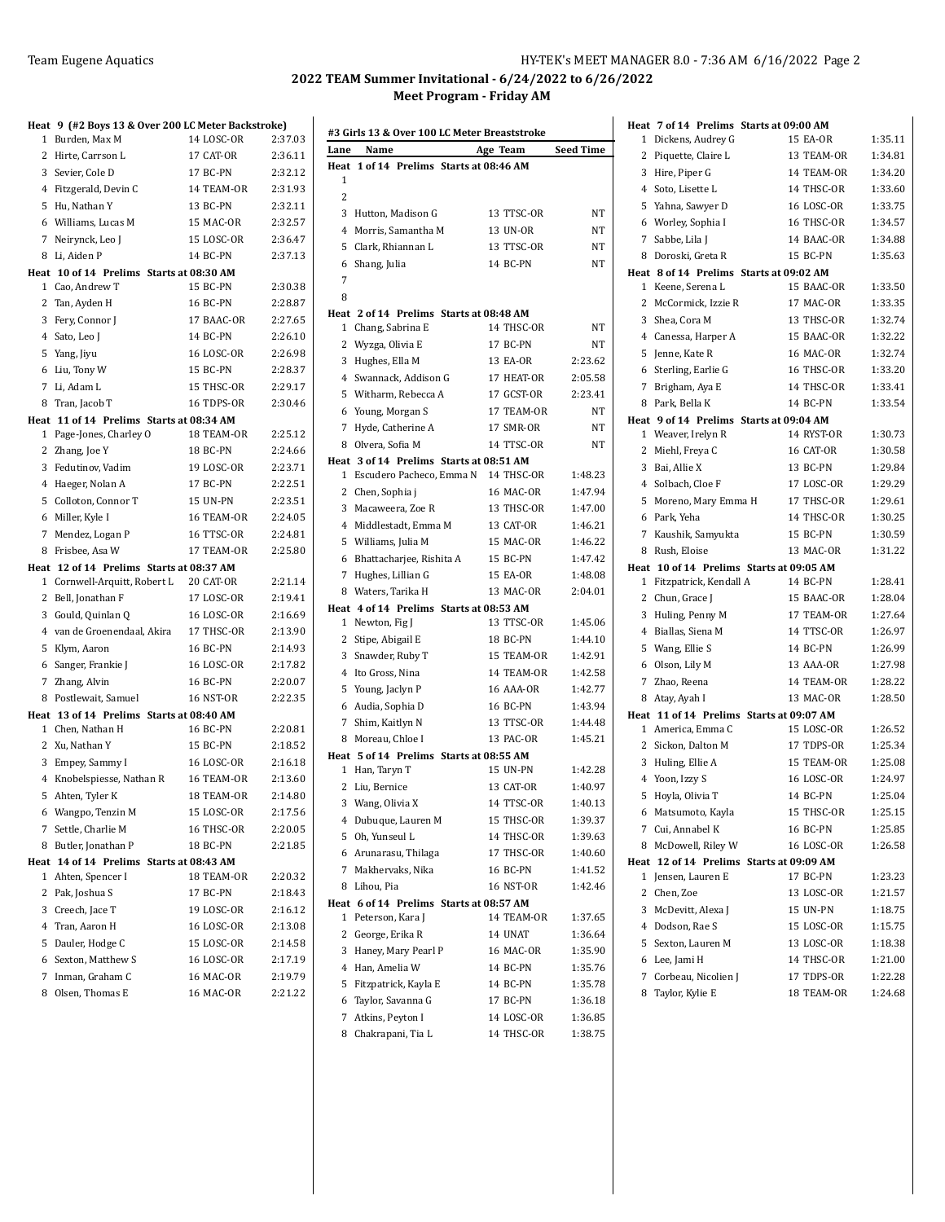### Team Eugene Aquatics **HY-TEK's MEET MANAGER 8.0 - 7:36 AM 6/16/2022** Page 2

## **2022 TEAM Summer Invitational - 6/24/2022 to 6/26/2022 Meet Program - Friday AM**

|   | Heat 9 (#2 Boys 13 & Over 200 LC Meter Backstroke)           |                   |         |
|---|--------------------------------------------------------------|-------------------|---------|
|   | 1 Burden, Max M                                              | 14 LOSC-OR        | 2:37.03 |
|   | 2 Hirte, Carrson L                                           | 17 CAT-OR         | 2:36.11 |
|   | 3 Sevier, Cole D                                             | 17 BC-PN          | 2:32.12 |
|   | 4 Fitzgerald, Devin C                                        | 14 TEAM-OR        | 2:31.93 |
|   | 5 Hu, Nathan Y                                               | 13 BC-PN          | 2:32.11 |
|   | 6 Williams, Lucas M                                          | 15 MAC-OR         | 2:32.57 |
|   | 7 Neirynck, Leo J                                            | 15 LOSC-OR        | 2:36.47 |
|   | 8 Li, Aiden P                                                | 14 BC-PN          | 2:37.13 |
|   | Heat 10 of 14 Prelims Starts at 08:30 AM                     |                   |         |
|   | 1 Cao, Andrew T                                              | 15 BC-PN          | 2:30.38 |
|   | 2 Tan, Ayden H                                               | 16 BC-PN          | 2:28.87 |
|   | 3 Fery, Connor J                                             | 17 BAAC-OR        | 2:27.65 |
|   | 4 Sato, Leo J                                                | 14 BC-PN          | 2:26.10 |
|   | 5 Yang, Jiyu                                                 | <b>16 LOSC-OR</b> | 2:26.98 |
|   | 6 Liu, Tony W                                                | 15 BC-PN          | 2:28.37 |
|   | 7 Li, Adam L                                                 | 15 THSC-OR        | 2:29.17 |
|   | 8 Tran, Jacob T                                              | 16 TDPS-OR        | 2:30.46 |
|   | Heat 11 of 14 Prelims Starts at 08:34 AM                     |                   |         |
|   | 1 Page-Jones, Charley O                                      | 18 TEAM-OR        | 2:25.12 |
|   | 2 Zhang, Joe Y                                               | 18 BC-PN          | 2:24.66 |
|   | 3 Fedutinov, Vadim                                           | 19 LOSC-OR        | 2:23.71 |
|   | 4 Haeger, Nolan A                                            | 17 BC-PN          | 2:22.51 |
|   | 5 Colloton, Connor T                                         | 15 UN-PN          | 2:23.51 |
|   | 6 Miller, Kyle I                                             | 16 TEAM-OR        | 2:24.05 |
|   | 7 Mendez, Logan P                                            | 16 TTSC-OR        | 2:24.81 |
| 8 | Frisbee, Asa W                                               | 17 TEAM-OR        | 2:25.80 |
|   | Heat 12 of 14 Prelims Starts at 08:37 AM                     |                   |         |
|   | 1 Cornwell-Arquitt, Robert L                                 | 20 CAT-OR         | 2:21.14 |
|   | 2 Bell, Jonathan F                                           | 17 LOSC-OR        | 2:19.41 |
|   | 3 Gould, Quinlan Q                                           | 16 LOSC-OR        | 2:16.69 |
|   | 4 van de Groenendaal, Akira                                  | 17 THSC-OR        | 2:13.90 |
|   | 5 Klym, Aaron                                                | 16 BC-PN          | 2:14.93 |
|   | 6 Sanger, Frankie J                                          | <b>16 LOSC-OR</b> | 2:17.82 |
|   | 7 Zhang, Alvin                                               | 16 BC-PN          | 2:20.07 |
|   | 8 Postlewait, Samuel                                         | 16 NST-OR         | 2:22.35 |
|   | Heat 13 of 14 Prelims Starts at 08:40 AM<br>1 Chen, Nathan H | 16 BC-PN          | 2:20.81 |
|   | 2 Xu, Nathan Y                                               | 15 BC-PN          | 2:18.52 |
|   | 3 Empey, Sammy I                                             | 16 LOSC-OR        | 2:16.18 |
|   | 4 Knobelspiesse, Nathan R                                    | 16 TEAM-OR        | 2:13.60 |
|   | 5 Ahten, Tyler K                                             | 18 TEAM-OR        | 2:14.80 |
|   | 6 Wangpo, Tenzin M                                           | 15 LOSC-OR        | 2:17.56 |
| 7 | Settle, Charlie M                                            | 16 THSC-OR        | 2:20.05 |
| 8 | Butler, Jonathan P                                           | 18 BC-PN          | 2:21.85 |
|   | Heat 14 of 14 Prelims Starts at 08:43 AM                     |                   |         |
| 1 | Ahten, Spencer I                                             | 18 TEAM-OR        | 2:20.32 |
|   | 2 Pak, Joshua S                                              | 17 BC-PN          | 2:18.43 |
|   | 3 Creech, Jace T                                             | 19 LOSC-OR        | 2:16.12 |
|   | 4 Tran, Aaron H                                              | 16 LOSC-OR        | 2:13.08 |
|   | 5 Dauler, Hodge C                                            | 15 LOSC-OR        | 2:14.58 |
|   | 6 Sexton, Matthew S                                          | 16 LOSC-OR        | 2:17.19 |
|   | 7 Inman, Graham C                                            | 16 MAC-OR         | 2:19.79 |
|   | 8 Olsen, Thomas E                                            | 16 MAC-OR         | 2:21.22 |
|   |                                                              |                   |         |

| Lane           | Name                     | #3 Girls 13 & Over 100 LC Meter Breaststroke<br>Age Team | <b>Seed Time</b> |
|----------------|--------------------------|----------------------------------------------------------|------------------|
| Heat           |                          | 1 of 14 Prelims Starts at 08:46 AM                       |                  |
| 1              |                          |                                                          |                  |
| $\overline{c}$ |                          |                                                          |                  |
| 3              | Hutton, Madison G        | 13 TTSC-OR                                               | NT               |
| 4              | Morris, Samantha M       | 13 UN-OR                                                 | NT               |
| 5              | Clark, Rhiannan L        | 13 TTSC-OR                                               | NT               |
| 6              | Shang, Julia             | 14 BC-PN                                                 | NT               |
| 7              |                          |                                                          |                  |
| 8              |                          |                                                          |                  |
| Heat           |                          | 2 of 14 Prelims Starts at 08:48 AM                       |                  |
| 1              | Chang, Sabrina E         | 14 THSC-OR                                               | NT               |
| 2              | Wyzga, Olivia E          | 17 BC-PN                                                 | NT               |
| 3              | Hughes, Ella M           | 13 EA-OR                                                 | 2:23.62          |
| 4              | Swannack, Addison G      | 17 HEAT-OR                                               | 2:05.58          |
| 5              | Witharm, Rebecca A       | 17 GCST-OR                                               | 2:23.41          |
| 6              | Young, Morgan S          | 17 TEAM-OR                                               | NT               |
| 7              | Hyde, Catherine A        | 17 SMR-OR                                                | NT               |
| 8              | Olvera. Sofia M          | 14 TTSC-OR                                               | NT               |
|                |                          | Heat 3 of 14 Prelims Starts at 08:51 AM                  |                  |
| 1              | Escudero Pacheco, Emma N | 14 THSC-OR                                               | 1:48.23          |
| 2              | Chen, Sophia j           | 16 MAC-OR                                                | 1:47.94          |
| 3              | Macaweera, Zoe R         | 13 THSC-OR                                               | 1:47.00          |
| 4              | Middlestadt, Emma M      | 13 CAT-OR                                                | 1:46.21          |
| 5              | Williams, Julia M        | 15 MAC-OR                                                | 1:46.22          |
| 6              | Bhattacharjee, Rishita A | 15 BC-PN                                                 | 1:47.42          |
| 7              | Hughes, Lillian G        | 15 EA-OR                                                 | 1:48.08          |
| 8              | Waters, Tarika H         | 13 MAC-OR                                                | 2:04.01          |
|                |                          | Heat 4 of 14 Prelims Starts at 08:53 AM                  |                  |
| 1              | Newton, Fig J            | 13 TTSC-OR                                               | 1:45.06          |
| $\mathbf{2}$   | Stipe, Abigail E         | 18 BC-PN                                                 | 1:44.10          |
| 3              | Snawder, Ruby T          | 15 TEAM-OR                                               | 1:42.91          |
| 4              | Ito Gross, Nina          | 14 TEAM-OR                                               | 1:42.58          |
| 5              | Young, Jaclyn P          | <b>16 AAA-OR</b>                                         | 1:42.77          |
|                | 6 Audia, Sophia D        | 16 BC-PN                                                 | 1:43.94          |
| 7              | Shim, Kaitlyn N          | 13 TTSC-OR                                               | 1:44.48          |
| 8              | Moreau, Chloe I          | 13 PAC-OR                                                | 1:45.21          |
|                |                          | Heat 5 of 14 Prelims Starts at 08:55 AM                  |                  |
| $\mathbf{1}$   | Han, Taryn T             | 15 UN-PN                                                 | 1:42.28          |
| 2              | Liu, Bernice             | 13 CAT-OR                                                | 1:40.97          |
| 3              | Wang, Olivia X           | 14 TTSC-OR                                               | 1:40.13          |
| 4              | Dubuque, Lauren M        | 15 THSC-OR                                               | 1:39.37          |
| 5              | Oh, Yunseul L            | 14 THSC-OR                                               | 1:39.63          |
|                | 6 Arunarasu, Thilaga     | 17 THSC-OR                                               | 1:40.60          |
|                |                          | 16 BC-PN                                                 |                  |
|                | 7 Makhervaks, Nika       |                                                          | 1:41.52          |
|                | 8 Lihou, Pia             | 16 NST-OR                                                | 1:42.46          |
| 1              | Peterson, Kara J         | Heat 6 of 14 Prelims Starts at 08:57 AM<br>14 TEAM-OR    | 1:37.65          |
| 2              | George, Erika R          | 14 UNAT                                                  | 1:36.64          |
| 3              | Haney, Mary Pearl P      | 16 MAC-OR                                                | 1:35.90          |
| 4              | Han, Amelia W            | 14 BC-PN                                                 | 1:35.76          |
| 5              | Fitzpatrick, Kayla E     | 14 BC-PN                                                 | 1:35.78          |
|                |                          |                                                          |                  |
| 6              | Taylor, Savanna G        | 17 BC-PN                                                 | 1:36.18          |
| 7              | Atkins, Peyton I         | 14 LOSC-OR                                               | 1:36.85          |
| 8              | Chakrapani, Tia L        | 14 THSC-OR                                               | 1:38.75          |

|              | Heat 7 of 14 Prelims Starts at 09:00 AM                       |                         |                    |
|--------------|---------------------------------------------------------------|-------------------------|--------------------|
| $\mathbf{1}$ | Dickens, Audrey G                                             | <b>15 EA-OR</b>         | 1:35.11            |
|              | 2 Piquette, Claire L                                          | 13 TEAM-OR              | 1:34.81            |
|              | 3 Hire, Piper G                                               | 14 TEAM-OR              | 1:34.20            |
|              | 4 Soto, Lisette L                                             | 14 THSC-OR              | 1:33.60            |
|              | 5 Yahna, Sawyer D                                             | <b>16 LOSC-OR</b>       | 1:33.75            |
|              | 6 Worley, Sophia I                                            | 16 THSC-OR              | 1:34.57            |
| $7^{\circ}$  | Sabbe, Lila J                                                 | 14 BAAC-OR              | 1:34.88            |
| 8            | Doroski, Greta R                                              | 15 BC-PN                | 1:35.63            |
|              | Heat 8 of 14 Prelims Starts at 09:02 AM                       |                         |                    |
|              | 1 Keene, Serena L                                             | 15 BAAC-OR              | 1:33.50            |
|              | 2 McCormick, Izzie R                                          | 17 MAC-OR               | 1:33.35            |
|              | 3 Shea, Cora M                                                | 13 THSC-OR              | 1:32.74            |
|              | 4 Canessa, Harper A                                           | 15 BAAC-OR              | 1:32.22            |
|              | 5 Jenne, Kate R                                               | 16 MAC-OR               | 1:32.74            |
|              | 6 Sterling, Earlie G                                          | 16 THSC-OR              | 1:33.20            |
|              | 7 Brigham, Aya E                                              | 14 THSC-OR              | 1:33.41            |
|              | 8 Park, Bella K                                               | 14 BC-PN                | 1:33.54            |
|              | Heat 9 of 14 Prelims Starts at 09:04 AM<br>1 Weaver, Irelyn R |                         |                    |
|              |                                                               | 14 RYST-OR<br>16 CAT-OR | 1:30.73<br>1:30.58 |
|              | 2 Miehl, Freya C<br>3 Bai, Allie X                            | 13 BC-PN                | 1:29.84            |
|              | 4 Solbach, Cloe F                                             | 17 LOSC-OR              | 1:29.29            |
|              | 5 Moreno, Mary Emma H                                         | 17 THSC-OR              | 1:29.61            |
|              | 6 Park, Yeha                                                  | 14 THSC-OR              | 1:30.25            |
|              | 7 Kaushik, Samyukta                                           | 15 BC-PN                | 1:30.59            |
|              | 8 Rush, Eloise                                                | 13 MAC-OR               | 1:31.22            |
|              | Heat 10 of 14 Prelims Starts at 09:05 AM                      |                         |                    |
|              | 1 Fitzpatrick, Kendall A                                      | 14 BC-PN                | 1:28.41            |
|              | 2 Chun, Grace J                                               | 15 BAAC-OR              | 1:28.04            |
|              | 3 Huling, Penny M                                             | 17 TEAM-OR              | 1:27.64            |
|              | 4 Biallas, Siena M                                            | 14 TTSC-OR              | 1:26.97            |
|              | 5 Wang, Ellie S                                               | 14 BC-PN                | 1:26.99            |
|              | 6 Olson, Lily M                                               | 13 AAA-OR               | 1:27.98            |
|              | 7 Zhao, Reena                                                 | 14 TEAM-OR              | 1:28.22            |
| 8            | Atay, Ayah I                                                  | 13 MAC-OR               | 1:28.50            |
|              | Heat 11 of 14 Prelims Starts at 09:07 AM                      |                         |                    |
|              | 1 America, Emma C                                             | 15 LOSC-OR              | 1:26.52            |
|              | 2 Sickon, Dalton M                                            | 17 TDPS-OR              | 1:25.34            |
|              | 3 Huling, Ellie A                                             | 15 TEAM-OR              | 1:25.08            |
|              | 4 Yoon, Izzy S                                                | 16 LOSC-OR              | 1:24.97            |
| 5            | Hoyla, Olivia T                                               | 14 BC-PN                | 1:25.04            |
|              | 6 Matsumoto, Kayla                                            | 15 THSC-OR              | 1:25.15            |
|              | 7 Cui, Annabel K                                              | 16 BC-PN                | 1:25.85            |
|              | 8 McDowell, Riley W                                           | <b>16 LOSC-OR</b>       | 1:26.58            |
| 1            | Heat 12 of 14 Prelims Starts at 09:09 AM<br>Jensen, Lauren E  | 17 BC-PN                | 1:23.23            |
|              | 2 Chen, Zoe                                                   | 13 LOSC-OR              | 1:21.57            |
|              | 3 McDevitt, Alexa J                                           | 15 UN-PN                | 1:18.75            |
|              | 4 Dodson, Rae S                                               | 15 LOSC-OR              | 1:15.75            |
|              | 5 Sexton, Lauren M                                            | 13 LOSC-OR              | 1:18.38            |
|              | 6 Lee, Jami H                                                 | 14 THSC-OR              | 1:21.00            |
|              | 7 Corbeau, Nicolien J                                         | 17 TDPS-OR              | 1:22.28            |
|              | 8 Taylor, Kylie E                                             | 18 TEAM-OR              | 1:24.68            |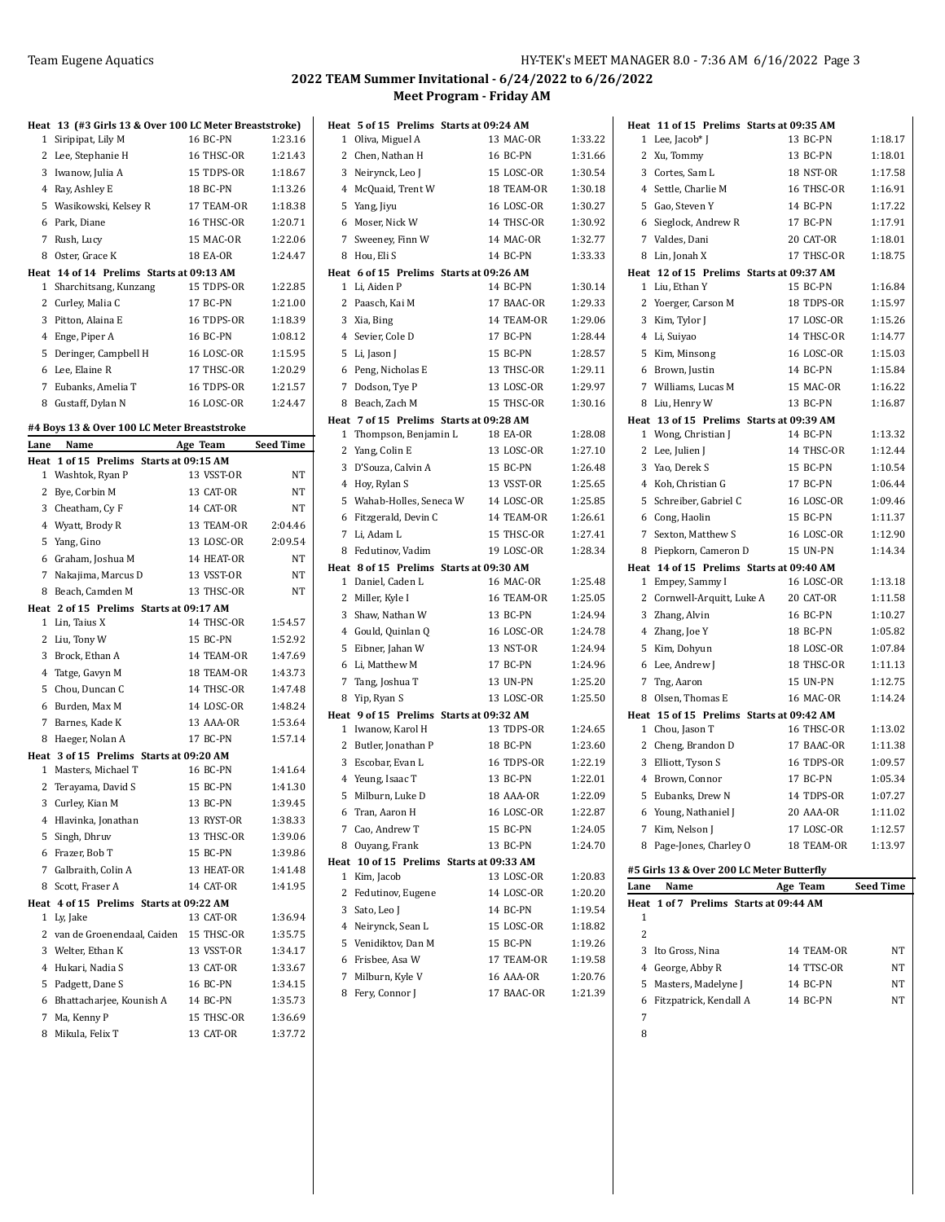## **2022 TEAM Summer Invitational - 6/24/2022 to 6/26/2022 Meet Program - Friday AM**

|      | Heat 13 (#3 Girls 13 & Over 100 LC Meter Breaststroke)        |                        |                    |
|------|---------------------------------------------------------------|------------------------|--------------------|
| 1    | Siripipat, Lily M                                             | 16 BC-PN               | 1:23.16            |
| 2    | Lee, Stephanie H                                              | 16 THSC-OR             | 1:21.43            |
|      | 3 Iwanow, Julia A                                             | 15 TDPS-OR             | 1:18.67            |
|      | 4 Ray, Ashley E                                               | 18 BC-PN               | 1:13.26            |
| 5    | Wasikowski, Kelsey R                                          | 17 TEAM-OR             | 1:18.38            |
|      | 6 Park, Diane                                                 | 16 THSC-OR             | 1:20.71            |
| 7    | Rush, Lucy                                                    | 15 MAC-OR              | 1:22.06            |
| 8    | Oster, Grace K                                                | 18 EA-OR               | 1:24.47            |
|      | Heat 14 of 14 Prelims Starts at 09:13 AM                      |                        |                    |
| 1    | Sharchitsang, Kunzang                                         | 15 TDPS-OR             | 1:22.85            |
| 2    | Curley, Malia C                                               | 17 BC-PN               | 1:21.00            |
| 3    | Pitton, Alaina E                                              | 16 TDPS-OR             | 1:18.39            |
| 4    | Enge, Piper A                                                 | 16 BC-PN               | 1:08.12            |
| 5    | Deringer, Campbell H                                          | 16 LOSC-OR             | 1:15.95            |
| 6    | Lee, Elaine R                                                 | 17 THSC-OR             | 1:20.29            |
| 7    | Eubanks, Amelia T                                             | 16 TDPS-OR             | 1:21.57            |
| 8    | Gustaff, Dylan N                                              | <b>16 LOSC-OR</b>      | 1:24.47            |
|      |                                                               |                        |                    |
| Lane | #4 Boys 13 & Over 100 LC Meter Breaststroke<br>Name           | Age Team               | <b>Seed Time</b>   |
|      | Heat 1 of 15 Prelims Starts at 09:15 AM                       |                        |                    |
| 1    | Washtok, Ryan P                                               | 13 VSST-OR             | NT                 |
| 2    | Bye, Corbin M                                                 | 13 CAT-OR              | NΤ                 |
|      | 3 Cheatham, Cy F                                              | 14 CAT-OR              | NΤ                 |
|      | 4 Wyatt, Brody R                                              | 13 TEAM-OR             | 2:04.46            |
| 5    | Yang, Gino                                                    | 13 LOSC-OR             | 2:09.54            |
| 6    |                                                               |                        |                    |
|      | Graham, Joshua M                                              | 14 HEAT-OR             | NΤ                 |
|      | 7 Nakajima, Marcus D                                          | 13 VSST-OR             | NΤ                 |
| 8    | Beach, Camden M                                               | 13 THSC-OR             | NΤ                 |
| 1    | Heat 2 of 15 Prelims Starts at 09:17 AM<br>Lin, Taius X       | 14 THSC-OR             | 1:54.57            |
|      | 2 Liu, Tony W                                                 | 15 BC-PN               | 1:52.92            |
| 3    | Brock, Ethan A                                                | 14 TEAM-OR             | 1:47.69            |
|      | 4 Tatge, Gavyn M                                              | 18 TEAM-OR             | 1:43.73            |
| 5    | Chou, Duncan C                                                | 14 THSC-OR             | 1:47.48            |
| 6    | Burden, Max M                                                 | 14 LOSC-OR             | 1:48.24            |
| 7    |                                                               | 13 AAA-OR              | 1:53.64            |
|      | Barnes, Kade K                                                |                        |                    |
| 8    | Haeger, Nolan A                                               | 17 BC-PN               | 1:57.14            |
| 1    | Heat 3 of 15 Prelims Starts at 09:20 AM<br>Masters, Michael T | 16 BC-PN               | 1:41.64            |
| 2    | Terayama, David S                                             | 15 BC-PN               | 1:41.30            |
| 3    | Curley, Kian M                                                | 13 BC-PN               | 1:39.45            |
| 4    | Hlavinka, Jonathan                                            | 13 RYST-OR             | 1:38.33            |
| 5    | Singh, Dhruv                                                  | 13 THSC-OR             | 1:39.06            |
|      |                                                               |                        |                    |
|      | 6 Frazer, Bob T<br>7 Galbraith, Colin A                       | 15 BC-PN<br>13 HEAT-OR | 1:39.86<br>1:41.48 |
|      |                                                               |                        |                    |
| 8    | Scott, Fraser A                                               | 14 CAT-OR              | 1:41.95            |
| 1    | Heat 4 of 15 Prelims Starts at 09:22 AM<br>Ly, Jake           | 13 CAT-OR              | 1:36.94            |
| 2    | van de Groenendaal, Caiden                                    | 15 THSC-OR             | 1:35.75            |
| 3    | Welter, Ethan K                                               | 13 VSST-OR             | 1:34.17            |
| 4    | Hukari, Nadia S                                               |                        |                    |
|      |                                                               | 13 CAT-OR              | 1:33.67            |
| 5    | Padgett, Dane S                                               | 16 BC-PN               | 1:34.15            |
| 6    | Bhattacharjee, Kounish A                                      | 14 BC-PN               | 1:35.73            |
| 7    | Ma, Kenny P                                                   | 15 THSC-OR             | 1:36.69            |
| 8    | Mikula, Felix T                                               | 13 CAT-OR              | 1:37.72            |

|              | Heat 5 of 15 Prelims Starts at 09:24 AM<br>1 Oliva, Miguel A | 13 MAC-OR                                | 1:33.22 |
|--------------|--------------------------------------------------------------|------------------------------------------|---------|
|              | 2 Chen, Nathan H                                             | 16 BC-PN                                 | 1:31.66 |
|              | 3 Neirynck, Leo J                                            | 15 LOSC-OR                               | 1:30.54 |
|              | 4 McQuaid, Trent W                                           | 18 TEAM-OR                               | 1:30.18 |
|              | 5 Yang, Jiyu                                                 | <b>16 LOSC-OR</b>                        | 1:30.27 |
|              | 6 Moser, Nick W                                              | 14 THSC-OR                               | 1:30.92 |
|              | 7 Sweeney, Finn W                                            | 14 MAC-OR                                | 1:32.77 |
| 8            | Hou, Eli S                                                   | 14 BC-PN                                 | 1:33.33 |
|              | Heat 6 of 15 Prelims Starts at 09:26 AM                      |                                          |         |
| 1            | Li, Aiden P                                                  | 14 BC-PN                                 | 1:30.14 |
| 2            | Paasch, Kai M                                                | 17 BAAC-OR                               | 1:29.33 |
|              | 3 Xia, Bing                                                  | 14 TEAM-OR                               | 1:29.06 |
|              | 4 Sevier, Cole D                                             | 17 BC-PN                                 | 1:28.44 |
|              | 5 Li, Jason J                                                | 15 BC-PN                                 | 1:28.57 |
|              | 6 Peng, Nicholas E                                           | 13 THSC-OR                               | 1:29.11 |
|              | 7 Dodson, Tye P                                              | 13 LOSC-OR                               | 1:29.97 |
|              | 8 Beach, Zach M                                              | 15 THSC-OR                               | 1:30.16 |
|              | Heat 7 of 15 Prelims Starts at 09:28 AM                      |                                          |         |
| $\mathbf{1}$ | Thompson, Benjamin L                                         | 18 EA-OR                                 | 1:28.08 |
|              | 2 Yang, Colin E                                              | 13 LOSC-OR                               | 1:27.10 |
|              | 3 D'Souza, Calvin A                                          | 15 BC-PN                                 | 1:26.48 |
|              | 4 Hoy, Rylan S                                               | 13 VSST-OR                               | 1:25.65 |
|              | 5 Wahab-Holles, Seneca W                                     | 14 LOSC-OR                               | 1:25.85 |
|              | 6 Fitzgerald, Devin C                                        | 14 TEAM-OR                               | 1:26.61 |
|              | 7 Li, Adam L                                                 | 15 THSC-OR                               | 1:27.41 |
| 8            | Fedutinov, Vadim                                             | 19 LOSC-OR                               | 1:28.34 |
|              | Heat 8 of 15 Prelims Starts at 09:30 AM                      |                                          |         |
|              | 1 Daniel, Caden L                                            | 16 MAC-OR                                | 1:25.48 |
|              | 2 Miller, Kyle I                                             | 16 TEAM-OR                               | 1:25.05 |
|              | 3 Shaw, Nathan W                                             | 13 BC-PN                                 | 1:24.94 |
|              | 4 Gould, Quinlan Q                                           | <b>16 LOSC-OR</b>                        | 1:24.78 |
| 5            | Eibner, Jahan W                                              | 13 NST-OR                                | 1:24.94 |
| 6            | Li, Matthew M                                                | 17 BC-PN                                 | 1:24.96 |
|              | 7 Tang, Joshua T                                             | 13 UN-PN                                 | 1:25.20 |
| 8            | Yip, Ryan S                                                  | 13 LOSC-OR                               | 1:25.50 |
|              | Heat 9 of 15 Prelims Starts at 09:32 AM                      |                                          |         |
|              | 1 Iwanow, Karol H                                            | 13 TDPS-OR                               | 1:24.65 |
|              | 2 Butler, Jonathan P                                         | 18 BC-PN                                 | 1:23.60 |
|              | 3 Escobar, Evan L                                            | 16 TDPS-OR                               | 1:22.19 |
|              | 4 Yeung, Isaac T                                             | 13 BC-PN                                 | 1:22.01 |
| 5            | Milburn, Luke D                                              | 18 AAA-OR                                | 1:22.09 |
| 6            | Tran, Aaron H                                                | 16 LOSC-OR                               | 1:22.87 |
| $7^{\circ}$  | Cao, Andrew T                                                | 15 BC-PN                                 | 1:24.05 |
| 8            | Ouyang, Frank                                                | 13 BC-PN                                 | 1:24.70 |
|              |                                                              | Heat 10 of 15 Prelims Starts at 09:33 AM |         |
| 1            | Kim, Jacob                                                   | 13 LOSC-OR                               | 1:20.83 |
| 2            | Fedutinov, Eugene                                            | 14 LOSC-OR                               | 1:20.20 |
|              | 3 Sato, Leo J                                                | 14 BC-PN                                 | 1:19.54 |
|              | 4 Neirynck, Sean L                                           | 15 LOSC-OR                               | 1:18.82 |
|              | 5 Venidiktov, Dan M                                          | 15 BC-PN                                 | 1:19.26 |
| 6            | Frisbee, Asa W                                               | 17 TEAM-OR                               | 1:19.58 |
| 7            | Milburn, Kyle V                                              | <b>16 AAA-OR</b>                         | 1:20.76 |
| 8            | Fery, Connor J                                               | 17 BAAC-OR                               | 1:21.39 |
|              |                                                              |                                          |         |

| Heat 11 of 15 Prelims Starts at 09:35 AM  |                   |                  |
|-------------------------------------------|-------------------|------------------|
| 1 Lee, Jacob* J                           | 13 BC-PN          | 1:18.17          |
| 2<br>Xu, Tommy                            | 13 BC-PN          | 1:18.01          |
| 3 Cortes, Sam L                           | 18 NST-OR         | 1:17.58          |
| 4 Settle, Charlie M                       | 16 THSC-OR        | 1:16.91          |
| 5 Gao. Steven Y                           | 14 BC-PN          | 1:17.22          |
| 6 Sieglock, Andrew R                      | 17 BC-PN          | 1:17.91          |
| 7 Valdes, Dani                            | 20 CAT-OR         | 1:18.01          |
| 8 Lin, Jonah X                            | 17 THSC-OR        | 1:18.75          |
| Heat 12 of 15 Prelims Starts at 09:37 AM  |                   |                  |
| 1 Liu, Ethan Y                            | 15 BC-PN          | 1:16.84          |
| 2 Yoerger, Carson M                       | 18 TDPS-OR        | 1:15.97          |
| 3 Kim, Tylor J                            | 17 LOSC-OR        | 1:15.26          |
| 4 Li, Suiyao                              | 14 THSC-OR        | 1:14.77          |
| 5 Kim, Minsong                            | <b>16 LOSC-OR</b> | 1:15.03          |
| 6 Brown, Justin                           | 14 BC-PN          | 1:15.84          |
| 7 Williams, Lucas M                       | 15 MAC-OR         | 1:16.22          |
| 8 Liu, Henry W                            | 13 BC-PN          | 1:16.87          |
| Heat 13 of 15 Prelims Starts at 09:39 AM  |                   |                  |
| 1 Wong, Christian J                       | 14 BC-PN          | 1:13.32          |
| 2 Lee, Julien J                           | 14 THSC-OR        | 1:12.44          |
| 3 Yao, Derek S                            | 15 BC-PN          | 1:10.54          |
| 4 Koh. Christian G                        | 17 BC-PN          | 1:06.44          |
| 5 Schreiber, Gabriel C                    | <b>16 LOSC-OR</b> | 1:09.46          |
| 6 Cong, Haolin                            | <b>15 BC-PN</b>   | 1:11.37          |
| 7 Sexton, Matthew S                       | <b>16 LOSC-OR</b> | 1:12.90          |
| 8 Piepkorn, Cameron D                     | <b>15 UN-PN</b>   | 1:14.34          |
| Heat 14 of 15 Prelims Starts at 09:40 AM  |                   |                  |
| 1 Empey, Sammy I                          | <b>16 LOSC-OR</b> | 1:13.18          |
| 2 Cornwell-Arquitt, Luke A                | 20 CAT-OR         | 1:11.58          |
| 3 Zhang, Alvin                            | <b>16 BC-PN</b>   | 1:10.27          |
| 4 Zhang, Joe Y                            | 18 BC-PN          | 1:05.82          |
| 5 Kim, Dohyun                             | 18 LOSC-OR        | 1:07.84          |
| 6 Lee, Andrew J                           | 18 THSC-OR        | 1:11.13          |
| 7<br>Tng, Aaron                           | <b>15 UN-PN</b>   | 1:12.75          |
| 8 Olsen, Thomas E                         | 16 MAC-OR         | 1:14.24          |
| Heat 15 of 15 Prelims Starts at 09:42 AM  |                   |                  |
| 1 Chou, Jason T                           | 16 THSC-OR        | 1:13.02          |
| 2 Cheng, Brandon D                        | 17 BAAC-OR        | 1:11.38          |
| 3 Elliott, Tyson S                        | 16 TDPS-OR        | 1:09.57          |
| 4 Brown, Connor                           | 17 BC-PN          | 1:05.34          |
| 5 Eubanks, Drew N                         | 14 TDPS-OR        | 1:07.27          |
| Young, Nathaniel J<br>6                   | 20 AAA-OR         | 1:11.02          |
| 7<br>Kim, Nelson J                        | 17 LOSC-OR        | 1:12.57          |
| Page-Jones, Charley O<br>8                | 18 TEAM-OR        | 1:13.97          |
| #5 Girls 13 & Over 200 LC Meter Butterfly |                   |                  |
| Name<br>Lane                              | Age Team          | <b>Seed Time</b> |
| 1 of 7 Prelims Starts at 09:44 AM<br>Heat |                   |                  |
| 1                                         |                   |                  |
| $\overline{2}$                            |                   |                  |
| 3 Ito Gross, Nina                         | 14 TEAM-OR        | NΤ               |
| 4 George, Abby R                          | 14 TTSC-OR        | NΤ               |
| 5<br>Masters, Madelyne J                  | 14 BC-PN          | NΤ               |
| Fitzpatrick, Kendall A<br>6               | 14 BC-PN          | NT               |
| 7                                         |                   |                  |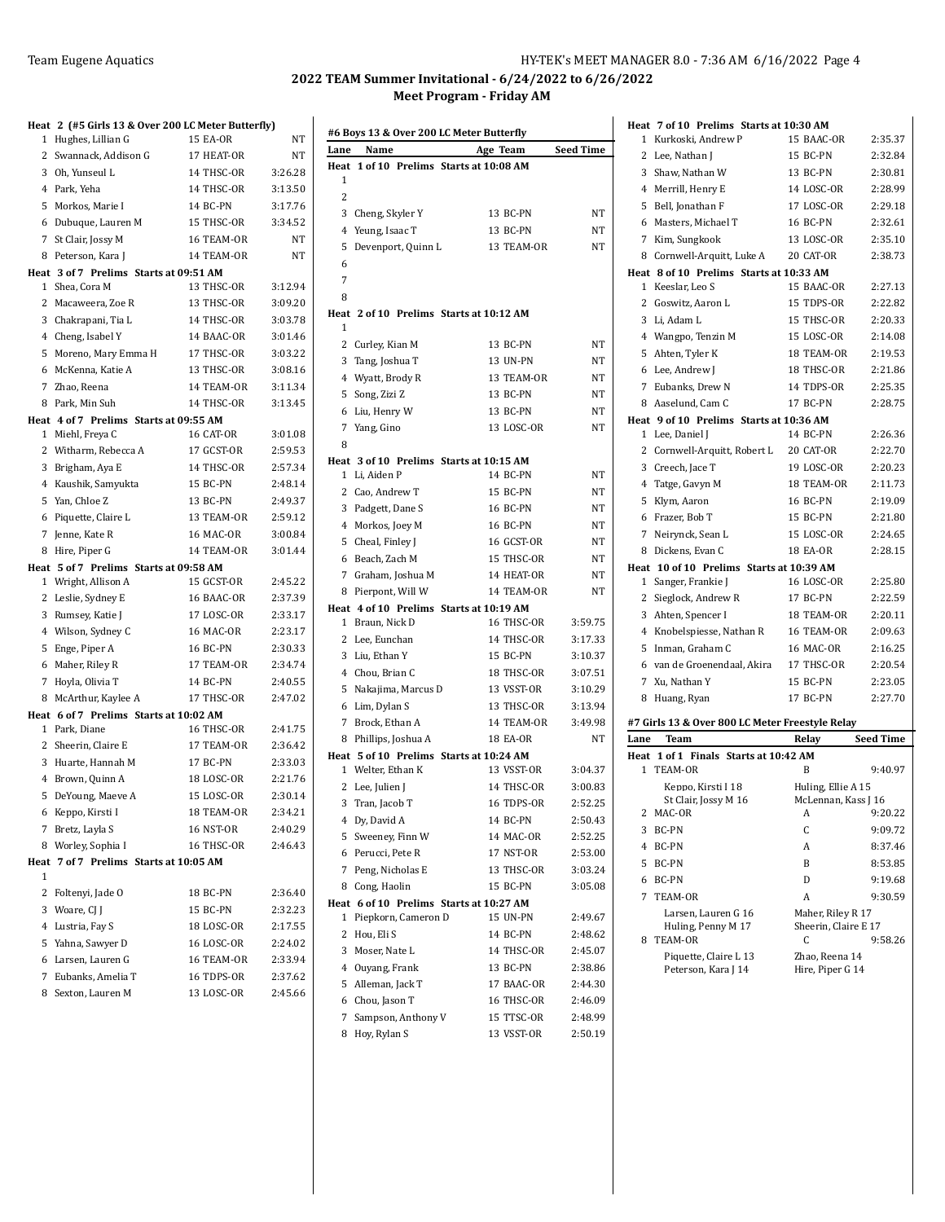### Team Eugene Aquatics **HY-TEK's MEET MANAGER 8.0 - 7:36 AM 6/16/2022** Page 4

#### **2022 TEAM Summer Invitational - 6/24/2022 to 6/26/2022 Meet Program - Friday AM**

| Heat 2 (#5 Girls 13 & Over 200 LC Meter Butterfly) |                 |         |
|----------------------------------------------------|-----------------|---------|
| Hughes, Lillian G<br>1                             | 15 EA-OR        | NT      |
| 2<br>Swannack, Addison G                           | 17 HEAT-OR      | NT      |
| 3 Oh, Yunseul L                                    | 14 THSC-OR      | 3:26.28 |
| 4 Park, Yeha                                       | 14 THSC-OR      | 3:13.50 |
| 5<br>Morkos, Marie I                               | 14 BC-PN        | 3:17.76 |
| 6 Dubuque, Lauren M                                | 15 THSC-OR      | 3:34.52 |
| 7<br>St Clair, Jossy M                             | 16 TEAM-OR      | NT      |
| 8<br>Peterson, Kara J                              | 14 TEAM-OR      | NT      |
| Heat 3 of 7 Prelims Starts at 09:51 AM             |                 |         |
| 1 Shea, Cora M                                     | 13 THSC-OR      | 3:12.94 |
| 2<br>Macaweera, Zoe R                              | 13 THSC-OR      | 3:09.20 |
| 3 Chakrapani, Tia L                                | 14 THSC-OR      | 3:03.78 |
| 4 Cheng, Isabel Y                                  | 14 BAAC-OR      | 3:01.46 |
| 5<br>Moreno, Mary Emma H                           | 17 THSC-OR      | 3:03.22 |
| 6 McKenna, Katie A                                 | 13 THSC-OR      | 3:08.16 |
| 7 Zhao, Reena                                      | 14 TEAM-OR      | 3:11.34 |
| Park, Min Suh<br>8                                 | 14 THSC-OR      | 3:13.45 |
| Heat 4 of 7 Prelims Starts at 09:55 AM             |                 |         |
| 1 Miehl, Freya C                                   | 16 CAT-OR       | 3:01.08 |
| 2 Witharm, Rebecca A                               | 17 GCST-OR      | 2:59.53 |
| 3<br>Brigham, Aya E                                | 14 THSC-OR      | 2:57.34 |
| 4 Kaushik, Samyukta                                | 15 BC-PN        | 2:48.14 |
| 5 Yan, Chloe Z                                     | 13 BC-PN        | 2:49.37 |
| Piquette, Claire L<br>6                            | 13 TEAM-OR      | 2:59.12 |
| 7<br>Jenne, Kate R                                 | 16 MAC-OR       | 3:00.84 |
| Hire, Piper G<br>8                                 | 14 TEAM-OR      | 3:01.44 |
| Heat 5 of 7 Prelims Starts at 09:58 AM             |                 |         |
| 1<br>Wright, Allison A                             | 15 GCST-OR      | 2:45.22 |
| 2<br>Leslie, Sydney E                              | 16 BAAC-OR      | 2:37.39 |
| 3<br>Rumsey, Katie J                               | 17 LOSC-OR      | 2:33.17 |
| 4 Wilson, Sydney C                                 | 16 MAC-OR       | 2:23.17 |
| 5<br>Enge, Piper A                                 | 16 BC-PN        | 2:30.33 |
| 6 Maher, Riley R                                   | 17 TEAM-OR      | 2:34.74 |
| 7 Hoyla, Olivia T                                  | 14 BC-PN        | 2:40.55 |
| 8<br>McArthur, Kaylee A                            | 17 THSC-OR      | 2:47.02 |
| Heat 6 of 7 Prelims Starts at 10:02 AM             |                 |         |
| Park, Diane<br>1                                   | 16 THSC-OR      | 2:41.75 |
| 2<br>Sheerin, Claire E                             | 17 TEAM-OR      | 2:36.42 |
| 3<br>Huarte, Hannah M                              | <b>17 BC-PN</b> | 2:33.03 |
| 4 Brown, Quinn A                                   | 18 LOSC-OR      | 2:21.76 |
| 5<br>DeYoung, Maeve A                              | 15 LOSC-OR      | 2:30.14 |
| Keppo, Kirsti I<br>6                               | 18 TEAM-OR      | 2:34.21 |
| Bretz, Layla S<br>7                                | 16 NST-OR       | 2:40.29 |
| Worley, Sophia I<br>8                              | 16 THSC-OR      | 2:46.43 |
| Heat 7 of 7 Prelims Starts at 10:05 AM             |                 |         |
| 1                                                  |                 |         |
| 2 Foltenyi, Jade O                                 | 18 BC-PN        | 2:36.40 |
| 3<br>Woare, CJ J                                   | 15 BC-PN        | 2:32.23 |
| 4 Lustria, Fay S                                   | 18 LOSC-OR      | 2:17.55 |
| 5 Yahna, Sawyer D                                  | 16 LOSC-OR      | 2:24.02 |
| 6 Larsen, Lauren G                                 | 16 TEAM-OR      | 2:33.94 |
| 7 Eubanks, Amelia T                                | 16 TDPS-OR      | 2:37.62 |
| 8 Sexton, Lauren M                                 | 13 LOSC-OR      | 2:45.66 |

|              |                    |                     | #6 Boys 13 & Over 200 LC Meter Butterfly |                  |
|--------------|--------------------|---------------------|------------------------------------------|------------------|
| Lane         | Name               |                     | Age Team                                 | <b>Seed Time</b> |
| Heat         |                    |                     | 1 of 10 Prelims Starts at 10:08 AM       |                  |
| $\mathbf{1}$ |                    |                     |                                          |                  |
| 2            |                    |                     |                                          |                  |
| 3            | Cheng, Skyler Y    |                     | 13 BC-PN                                 | NT               |
| 4            | Yeung, Isaac T     |                     | 13 BC-PN                                 | NΤ               |
| 5            |                    | Devenport, Quinn L  | 13 TEAM-OR                               | NΤ               |
| 6            |                    |                     |                                          |                  |
| 7            |                    |                     |                                          |                  |
| 8            |                    |                     |                                          |                  |
|              |                    |                     | Heat 2 of 10 Prelims Starts at 10:12 AM  |                  |
| 1            |                    |                     |                                          |                  |
| 2            | Curley, Kian M     |                     | 13 BC-PN                                 | NT               |
|              | 3 Tang, Joshua T   |                     | 13 UN-PN                                 | NΤ               |
|              | 4 Wyatt, Brody R   |                     | 13 TEAM-OR                               | NΤ               |
| 5            | Song, Zizi Z       |                     | 13 BC-PN                                 | NΤ               |
| 6            | Liu, Henry W       |                     | 13 BC-PN                                 | NT               |
| 7            | Yang, Gino         |                     | 13 LOSC-OR                               | NT               |
| 8            |                    |                     |                                          |                  |
|              |                    |                     | Heat 3 of 10 Prelims Starts at 10:15 AM  |                  |
| 1            | Li, Aiden P        |                     | 14 BC-PN                                 | NT               |
| 2            | Cao, Andrew T      |                     | 15 BC-PN                                 | NΤ               |
|              | 3 Padgett, Dane S  |                     | 16 BC-PN                                 | NT               |
|              | 4 Morkos, Joey M   |                     | 16 BC-PN                                 | NT               |
| 5            | Cheal, Finley J    |                     | 16 GCST-OR                               | NT               |
| 6            | Beach, Zach M      |                     | 15 THSC-OR                               | NT               |
|              |                    | 7 Graham, Joshua M  | 14 HEAT-OR                               | NΤ               |
| 8            | Pierpont, Will W   |                     | 14 TEAM-OR                               | NT               |
|              |                    |                     | Heat 4 of 10 Prelims Starts at 10:19 AM  |                  |
| $\mathbf{1}$ | Braun, Nick D      |                     | 16 THSC-OR                               | 3:59.75          |
| 2            | Lee, Eunchan       |                     | 14 THSC-OR                               | 3:17.33          |
|              | 3 Liu, Ethan Y     |                     | 15 BC-PN                                 | 3:10.37          |
|              | 4 Chou, Brian C    |                     | 18 THSC-OR                               | 3:07.51          |
| 5            |                    | Nakajima, Marcus D  | 13 VSST-OR                               | 3:10.29          |
| 6            | Lim, Dylan S       |                     | 13 THSC-OR                               | 3:13.94          |
| 7            | Brock, Ethan A     |                     | 14 TEAM-OR                               | 3:49.98          |
| 8            | Phillips, Joshua A |                     | 18 EA-OR                                 | NT               |
|              |                    |                     | Heat 5 of 10 Prelims Starts at 10:24 AM  |                  |
|              | 1 Welter, Ethan K  |                     | 13 VSST-OR                               | 3:04.37          |
| 2            | Lee, Julien J      |                     | 14 THSC-OR                               | 3:00.83          |
| 3            | Tran, Jacob T      |                     | 16 TDPS-OR                               | 2:52.25          |
|              | 4 Dy, David A      |                     | 14 BC-PN                                 | 2:50.43          |
| 5            | Sweeney, Finn W    |                     | 14 MAC-OR                                | 2:52.25          |
|              | 6 Perucci, Pete R  |                     | 17 NST-OR                                | 2:53.00          |
| 7            | Peng, Nicholas E   |                     | 13 THSC-OR                               | 3:03.24          |
| 8            | Cong, Haolin       |                     | 15 BC-PN                                 | 3:05.08          |
|              |                    |                     | Heat 6 of 10 Prelims Starts at 10:27 AM  |                  |
| 1            |                    | Piepkorn, Cameron D | 15 UN-PN                                 | 2:49.67          |
| 2            | Hou, Eli S         |                     | 14 BC-PN                                 | 2:48.62          |
|              | 3 Moser, Nate L    |                     | 14 THSC-OR                               | 2:45.07          |
|              | 4 Ouyang, Frank    |                     | 13 BC-PN                                 | 2:38.86          |
| 5            | Alleman, Jack T    |                     | 17 BAAC-OR                               | 2:44.30          |
| 6            | Chou, Jason T      |                     | 16 THSC-OR                               | 2:46.09          |
| 7            |                    | Sampson, Anthony V  | 15 TTSC-OR                               | 2:48.99          |
| 8            | Hoy, Rylan S       |                     | 13 VSST-OR                               | 2:50.19          |

|                | Heat 7 of 10 Prelims Starts at 10:30 AM         |                                    |           |
|----------------|-------------------------------------------------|------------------------------------|-----------|
| $\mathbf{1}$   | Kurkoski, Andrew P                              | 15 BAAC-OR                         | 2:35.37   |
| $\mathbf{2}$   | Lee, Nathan J                                   | 15 BC-PN                           | 2:32.84   |
|                | 3 Shaw, Nathan W                                | 13 BC-PN                           | 2:30.81   |
|                | 4 Merrill, Henry E                              | 14 LOSC-OR                         | 2:28.99   |
| 5              | Bell, Jonathan F                                | 17 LOSC-OR                         | 2:29.18   |
|                | 6 Masters, Michael T                            | <b>16 BC-PN</b>                    | 2:32.61   |
| 7              | Kim, Sungkook                                   | 13 LOSC-OR                         | 2:35.10   |
|                | 8 Cornwell-Arquitt, Luke A                      | 20 CAT-OR                          | 2:38.73   |
|                | Heat 8 of 10 Prelims Starts at 10:33 AM         |                                    |           |
|                | 1 Keeslar, Leo S                                | 15 BAAC-OR                         | 2:27.13   |
|                | 2 Goswitz, Aaron L                              | 15 TDPS-OR                         | 2:22.82   |
|                | 3 Li, Adam L                                    | 15 THSC-OR                         | 2:20.33   |
|                | 4 Wangpo, Tenzin M                              | 15 LOSC-OR                         | 2:14.08   |
|                | 5 Ahten, Tyler K                                | 18 TEAM-OR                         | 2:19.53   |
|                | 6 Lee, Andrew J                                 | 18 THSC-OR                         | 2:21.86   |
|                | 7 Eubanks, Drew N                               | 14 TDPS-OR                         | 2:25.35   |
|                | 8 Aaselund, Cam C                               | 17 BC-PN                           | 2:28.75   |
|                | Heat 9 of 10 Prelims Starts at 10:36 AM         |                                    |           |
|                | 1 Lee, Daniel J                                 | 14 BC-PN                           | 2:26.36   |
|                | 2 Cornwell-Arquitt, Robert L                    | 20 CAT-OR                          | 2:22.70   |
|                | 3 Creech, Jace T                                | 19 LOSC-OR                         | 2:20.23   |
|                | 4 Tatge, Gavyn M                                | 18 TEAM-OR                         | 2:11.73   |
| 5              | Klym, Aaron                                     | 16 BC-PN                           | 2:19.09   |
|                | 6 Frazer, Bob T                                 | 15 BC-PN                           | 2:21.80   |
|                | 7 Neirynck, Sean L                              | 15 LOSC-OR                         | 2:24.65   |
|                | 8 Dickens, Evan C                               | <b>18 EA-OR</b>                    | 2:28.15   |
|                |                                                 |                                    |           |
|                | Heat 10 of 10 Prelims Starts at 10:39 AM        |                                    |           |
| $\mathbf{1}$   | Sanger, Frankie J                               | 16 LOSC-OR                         | 2:25.80   |
|                | 2 Sieglock, Andrew R                            | 17 BC-PN                           | 2:22.59   |
|                | 3 Ahten, Spencer I                              | 18 TEAM-OR                         | 2:20.11   |
|                | 4 Knobelspiesse, Nathan R                       | 16 TEAM-OR                         | 2:09.63   |
|                | 5 Inman, Graham C                               | 16 MAC-OR                          | 2:16.25   |
|                | 6 van de Groenendaal, Akira                     | 17 THSC-OR                         | 2:20.54   |
| $\overline{7}$ | Xu, Nathan Y                                    | 15 BC-PN                           | 2:23.05   |
| 8              | Huang, Ryan                                     | 17 BC-PN                           | 2:27.70   |
|                | #7 Girls 13 & Over 800 LC Meter Freestyle Relay |                                    |           |
| Lane           | Team                                            | Relay                              | Seed Time |
|                | Heat 1 of 1 Finals Starts at 10:42 AM           |                                    |           |
| 1              | TEAM-OR                                         | B                                  | 9:40.97   |
|                | Keppo, Kirsti I 18                              | Huling, Ellie A 15                 |           |
|                | St Clair, Jossy M 16                            | McLennan, Kass J 16                |           |
|                | 2 MAC-OR                                        | A                                  | 9:20.22   |
| 3              | BC-PN                                           | С                                  | 9:09.72   |
| 4              | BC-PN                                           | A                                  | 8:37.46   |
| 5              | BC-PN                                           | B                                  | 8:53.85   |
| 6              | BC-PN                                           | D                                  | 9:19.68   |
| 7              | TEAM-OR                                         | A                                  | 9:30.59   |
|                | Larsen, Lauren G 16                             | Maher, Riley R 17                  |           |
|                | Huling, Penny M 17                              | Sheerin, Claire E 17               |           |
| 8              | TEAM-OR                                         | C                                  | 9:58.26   |
|                | Piquette, Claire L 13<br>Peterson, Kara J 14    | Zhao, Reena 14<br>Hire, Piper G 14 |           |